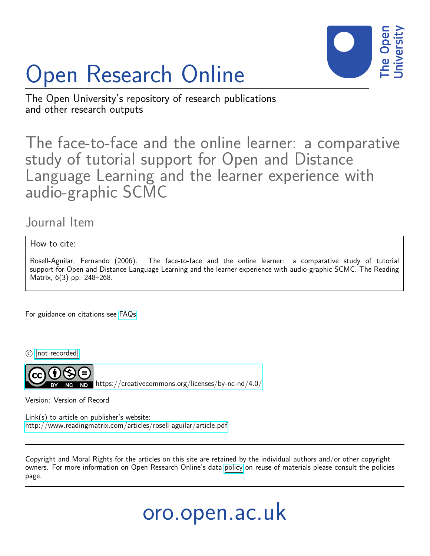

# Open Research Online

The Open University's repository of research publications and other research outputs

The face-to-face and the online learner: a comparative study of tutorial support for Open and Distance Language Learning and the learner experience with audio-graphic SCMC

Journal Item

How to cite:

Rosell-Aguilar, Fernando (2006). The face-to-face and the online learner: a comparative study of tutorial support for Open and Distance Language Learning and the learner experience with audio-graphic SCMC. The Reading Matrix, 6(3) pp. 248–268.

For guidance on citations see [FAQs.](http://oro.open.ac.uk/help/helpfaq.html)

 $(c)$  [\[not recorded\]](http://oro.open.ac.uk/help/helpfaq.html#Unrecorded_information_on_coversheet)

<https://creativecommons.org/licenses/by-nc-nd/4.0/>

Version: Version of Record

Link(s) to article on publisher's website: <http://www.readingmatrix.com/articles/rosell-aguilar/article.pdf>

Copyright and Moral Rights for the articles on this site are retained by the individual authors and/or other copyright owners. For more information on Open Research Online's data [policy](http://oro.open.ac.uk/policies.html) on reuse of materials please consult the policies page.

# oro.open.ac.uk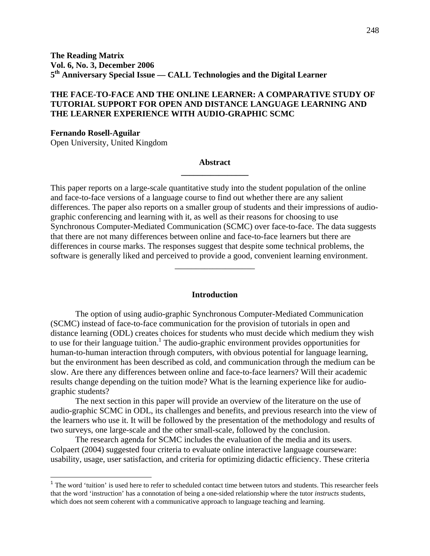# **THE FACE-TO-FACE AND THE ONLINE LEARNER: A COMPARATIVE STUDY OF TUTORIAL SUPPORT FOR OPEN AND DISTANCE LANGUAGE LEARNING AND THE LEARNER EXPERIENCE WITH AUDIO-GRAPHIC SCMC**

**Fernando Rosell-Aguilar**  Open University, United Kingdom

1

# **Abstract \_\_\_\_\_\_\_\_\_\_\_\_\_\_\_\_**

This paper reports on a large-scale quantitative study into the student population of the online and face-to-face versions of a language course to find out whether there are any salient differences. The paper also reports on a smaller group of students and their impressions of audiographic conferencing and learning with it, as well as their reasons for choosing to use Synchronous Computer-Mediated Communication (SCMC) over face-to-face. The data suggests that there are not many differences between online and face-to-face learners but there are differences in course marks. The responses suggest that despite some technical problems, the software is generally liked and perceived to provide a good, convenient learning environment.

#### **Introduction**

\_\_\_\_\_\_\_\_\_\_\_\_\_\_\_\_\_\_\_

The option of using audio-graphic Synchronous Computer-Mediated Communication (SCMC) instead of face-to-face communication for the provision of tutorials in open and distance learning (ODL) creates choices for students who must decide which medium they wish to use for their language tuition.<sup>1</sup> The audio-graphic environment provides opportunities for human-to-human interaction through computers, with obvious potential for language learning, but the environment has been described as cold, and communication through the medium can be slow. Are there any differences between online and face-to-face learners? Will their academic results change depending on the tuition mode? What is the learning experience like for audiographic students?

The next section in this paper will provide an overview of the literature on the use of audio-graphic SCMC in ODL, its challenges and benefits, and previous research into the view of the learners who use it. It will be followed by the presentation of the methodology and results of two surveys, one large-scale and the other small-scale, followed by the conclusion.

The research agenda for SCMC includes the evaluation of the media and its users. Colpaert (2004) suggested four criteria to evaluate online interactive language courseware: usability, usage, user satisfaction, and criteria for optimizing didactic efficiency. These criteria

<sup>&</sup>lt;sup>1</sup> The word 'tuition' is used here to refer to scheduled contact time between tutors and students. This researcher feels that the word 'instruction' has a connotation of being a one-sided relationship where the tutor *instructs* students, which does not seem coherent with a communicative approach to language teaching and learning.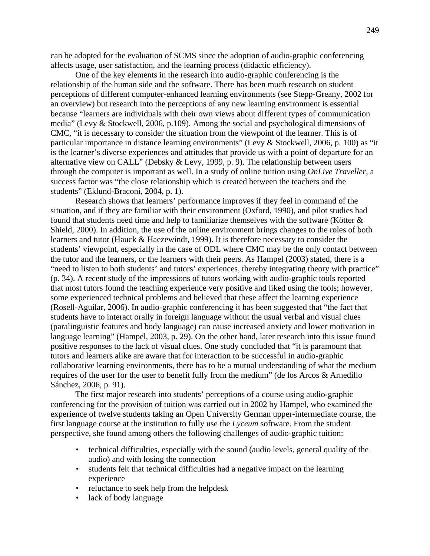can be adopted for the evaluation of SCMS since the adoption of audio-graphic conferencing affects usage, user satisfaction, and the learning process (didactic efficiency).

One of the key elements in the research into audio-graphic conferencing is the relationship of the human side and the software. There has been much research on student perceptions of different computer-enhanced learning environments (see Stepp-Greany, 2002 for an overview) but research into the perceptions of any new learning environment is essential because "learners are individuals with their own views about different types of communication media" (Levy & Stockwell, 2006, p.109). Among the social and psychological dimensions of CMC, "it is necessary to consider the situation from the viewpoint of the learner. This is of particular importance in distance learning environments" (Levy & Stockwell, 2006, p. 100) as "it is the learner's diverse experiences and attitudes that provide us with a point of departure for an alternative view on CALL" (Debsky & Levy, 1999, p. 9). The relationship between users through the computer is important as well. In a study of online tuition using *OnLive Traveller*, a success factor was "the close relationship which is created between the teachers and the students" (Eklund-Braconi, 2004, p. 1).

Research shows that learners' performance improves if they feel in command of the situation, and if they are familiar with their environment (Oxford, 1990), and pilot studies had found that students need time and help to familiarize themselves with the software (Kötter & Shield, 2000). In addition, the use of the online environment brings changes to the roles of both learners and tutor (Hauck & Haezewindt, 1999). It is therefore necessary to consider the students' viewpoint, especially in the case of ODL where CMC may be the only contact between the tutor and the learners, or the learners with their peers. As Hampel (2003) stated, there is a "need to listen to both students' and tutors' experiences, thereby integrating theory with practice" (p. 34). A recent study of the impressions of tutors working with audio-graphic tools reported that most tutors found the teaching experience very positive and liked using the tools; however, some experienced technical problems and believed that these affect the learning experience (Rosell-Aguilar, 2006). In audio-graphic conferencing it has been suggested that "the fact that students have to interact orally in foreign language without the usual verbal and visual clues (paralinguistic features and body language) can cause increased anxiety and lower motivation in language learning" (Hampel, 2003, p. 29). On the other hand, later research into this issue found positive responses to the lack of visual clues. One study concluded that "it is paramount that tutors and learners alike are aware that for interaction to be successful in audio-graphic collaborative learning environments, there has to be a mutual understanding of what the medium requires of the user for the user to benefit fully from the medium" (de los Arcos & Arnedillo Sánchez, 2006, p. 91).

The first major research into students' perceptions of a course using audio-graphic conferencing for the provision of tuition was carried out in 2002 by Hampel, who examined the experience of twelve students taking an Open University German upper-intermediate course, the first language course at the institution to fully use the *Lyceum* software. From the student perspective, she found among others the following challenges of audio-graphic tuition:

- technical difficulties, especially with the sound (audio levels, general quality of the audio) and with losing the connection
- students felt that technical difficulties had a negative impact on the learning experience
- reluctance to seek help from the helpdesk
- lack of body language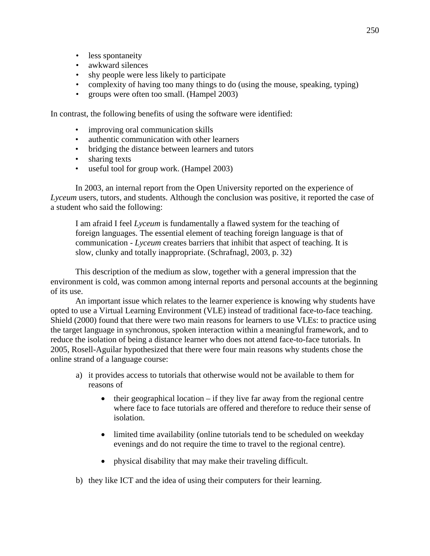- less spontaneity
- awkward silences
- shy people were less likely to participate
- complexity of having too many things to do (using the mouse, speaking, typing)
- groups were often too small. (Hampel 2003)

In contrast, the following benefits of using the software were identified:

- improving oral communication skills
- authentic communication with other learners
- bridging the distance between learners and tutors
- sharing texts
- useful tool for group work. (Hampel 2003)

In 2003, an internal report from the Open University reported on the experience of *Lyceum* users, tutors, and students. Although the conclusion was positive, it reported the case of a student who said the following:

I am afraid I feel *Lyceum* is fundamentally a flawed system for the teaching of foreign languages. The essential element of teaching foreign language is that of communication - *Lyceum* creates barriers that inhibit that aspect of teaching. It is slow, clunky and totally inappropriate. (Schrafnagl, 2003, p. 32)

This description of the medium as slow, together with a general impression that the environment is cold, was common among internal reports and personal accounts at the beginning of its use.

An important issue which relates to the learner experience is knowing why students have opted to use a Virtual Learning Environment (VLE) instead of traditional face-to-face teaching. Shield (2000) found that there were two main reasons for learners to use VLEs: to practice using the target language in synchronous, spoken interaction within a meaningful framework, and to reduce the isolation of being a distance learner who does not attend face-to-face tutorials. In 2005, Rosell-Aguilar hypothesized that there were four main reasons why students chose the online strand of a language course:

- a) it provides access to tutorials that otherwise would not be available to them for reasons of
	- $\bullet$  their geographical location if they live far away from the regional centre where face to face tutorials are offered and therefore to reduce their sense of isolation.
	- limited time availability (online tutorials tend to be scheduled on weekday evenings and do not require the time to travel to the regional centre).
	- physical disability that may make their traveling difficult.
- b) they like ICT and the idea of using their computers for their learning.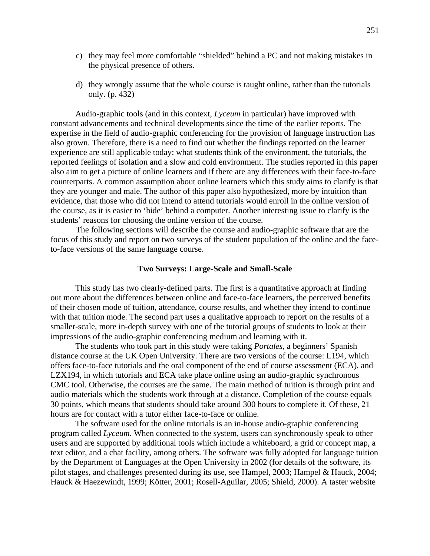- c) they may feel more comfortable "shielded" behind a PC and not making mistakes in the physical presence of others.
- d) they wrongly assume that the whole course is taught online, rather than the tutorials only. (p. 432)

Audio-graphic tools (and in this context, *Lyceum* in particular) have improved with constant advancements and technical developments since the time of the earlier reports. The expertise in the field of audio-graphic conferencing for the provision of language instruction has also grown. Therefore, there is a need to find out whether the findings reported on the learner experience are still applicable today: what students think of the environment, the tutorials, the reported feelings of isolation and a slow and cold environment. The studies reported in this paper also aim to get a picture of online learners and if there are any differences with their face-to-face counterparts. A common assumption about online learners which this study aims to clarify is that they are younger and male. The author of this paper also hypothesized, more by intuition than evidence, that those who did not intend to attend tutorials would enroll in the online version of the course, as it is easier to 'hide' behind a computer. Another interesting issue to clarify is the students' reasons for choosing the online version of the course.

 The following sections will describe the course and audio-graphic software that are the focus of this study and report on two surveys of the student population of the online and the faceto-face versions of the same language course.

#### **Two Surveys: Large-Scale and Small-Scale**

This study has two clearly-defined parts. The first is a quantitative approach at finding out more about the differences between online and face-to-face learners, the perceived benefits of their chosen mode of tuition, attendance, course results, and whether they intend to continue with that tuition mode. The second part uses a qualitative approach to report on the results of a smaller-scale, more in-depth survey with one of the tutorial groups of students to look at their impressions of the audio-graphic conferencing medium and learning with it.

The students who took part in this study were taking *Portales*, a beginners' Spanish distance course at the UK Open University. There are two versions of the course: L194, which offers face-to-face tutorials and the oral component of the end of course assessment (ECA), and LZX194, in which tutorials and ECA take place online using an audio-graphic synchronous CMC tool. Otherwise, the courses are the same. The main method of tuition is through print and audio materials which the students work through at a distance. Completion of the course equals 30 points, which means that students should take around 300 hours to complete it. Of these, 21 hours are for contact with a tutor either face-to-face or online.

The software used for the online tutorials is an in-house audio-graphic conferencing program called *Lyceum*. When connected to the system, users can synchronously speak to other users and are supported by additional tools which include a whiteboard, a grid or concept map, a text editor, and a chat facility, among others. The software was fully adopted for language tuition by the Department of Languages at the Open University in 2002 (for details of the software, its pilot stages, and challenges presented during its use, see Hampel, 2003; Hampel & Hauck, 2004; Hauck & Haezewindt, 1999; Kötter, 2001; Rosell-Aguilar, 2005; Shield, 2000). A taster website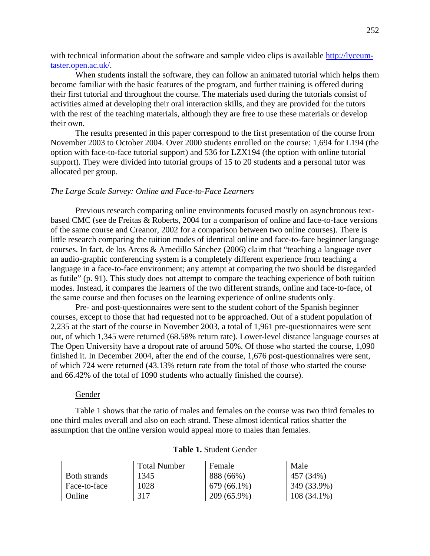with technical information about the software and sample video clips is available http://lyceumtaster.open.ac.uk/.

When students install the software, they can follow an animated tutorial which helps them become familiar with the basic features of the program, and further training is offered during their first tutorial and throughout the course. The materials used during the tutorials consist of activities aimed at developing their oral interaction skills, and they are provided for the tutors with the rest of the teaching materials, although they are free to use these materials or develop their own.

The results presented in this paper correspond to the first presentation of the course from November 2003 to October 2004. Over 2000 students enrolled on the course: 1,694 for L194 (the option with face-to-face tutorial support) and 536 for LZX194 (the option with online tutorial support). They were divided into tutorial groups of 15 to 20 students and a personal tutor was allocated per group.

#### *The Large Scale Survey: Online and Face-to-Face Learners*

Previous research comparing online environments focused mostly on asynchronous textbased CMC (see de Freitas & Roberts, 2004 for a comparison of online and face-to-face versions of the same course and Creanor, 2002 for a comparison between two online courses). There is little research comparing the tuition modes of identical online and face-to-face beginner language courses. In fact, de los Arcos & Arnedillo Sánchez (2006) claim that "teaching a language over an audio-graphic conferencing system is a completely different experience from teaching a language in a face-to-face environment; any attempt at comparing the two should be disregarded as futile" (p. 91). This study does not attempt to compare the teaching experience of both tuition modes. Instead, it compares the learners of the two different strands, online and face-to-face, of the same course and then focuses on the learning experience of online students only.

Pre- and post-questionnaires were sent to the student cohort of the Spanish beginner courses, except to those that had requested not to be approached. Out of a student population of 2,235 at the start of the course in November 2003, a total of 1,961 pre-questionnaires were sent out, of which 1,345 were returned (68.58% return rate). Lower-level distance language courses at The Open University have a dropout rate of around 50%. Of those who started the course, 1,090 finished it. In December 2004, after the end of the course, 1,676 post-questionnaires were sent, of which 724 were returned (43.13% return rate from the total of those who started the course and 66.42% of the total of 1090 students who actually finished the course).

#### Gender

Table 1 shows that the ratio of males and females on the course was two third females to one third males overall and also on each strand. These almost identical ratios shatter the assumption that the online version would appeal more to males than females.

|              | Total Number | Female        | Male          |
|--------------|--------------|---------------|---------------|
| Both strands | 1345         | 888 (66%)     | 457 (34%)     |
| Face-to-face | 1028         | $679(66.1\%)$ | 349 (33.9%)   |
| Online       | 317          | 209 (65.9%)   | $108(34.1\%)$ |

# **Table 1.** Student Gender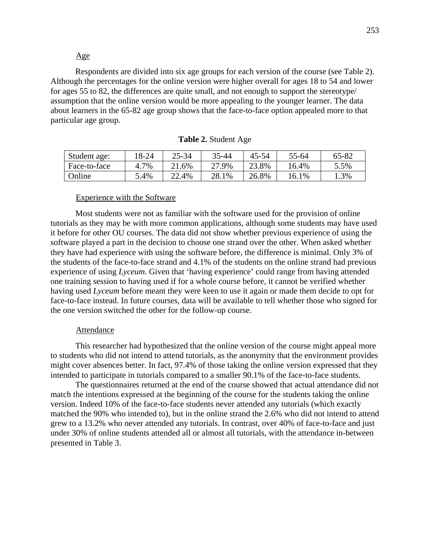# Age

Respondents are divided into six age groups for each version of the course (see Table 2). Although the percentages for the online version were higher overall for ages 18 to 54 and lower for ages 55 to 82, the differences are quite small, and not enough to support the stereotype/ assumption that the online version would be more appealing to the younger learner. The data about learners in the 65-82 age group shows that the face-to-face option appealed more to that particular age group.

| Student age: | 18-24   | $25 - 34$    | 35-44 | 45-54 | 55-64 | 65-82 |
|--------------|---------|--------------|-------|-------|-------|-------|
| Face-to-face | $.7\%$  | .6%          | 27.9% | 23.8% | 16.4% | 5.5%  |
| Online       | $3.4\%$ | 22.4%<br>ົາາ | 28.1% | 26.8% | 16.1% | .3%   |

|  |  | Table 2. Student Age |  |
|--|--|----------------------|--|
|  |  |                      |  |

#### Experience with the Software

Most students were not as familiar with the software used for the provision of online tutorials as they may be with more common applications, although some students may have used it before for other OU courses. The data did not show whether previous experience of using the software played a part in the decision to choose one strand over the other. When asked whether they have had experience with using the software before, the difference is minimal. Only 3% of the students of the face-to-face strand and 4.1% of the students on the online strand had previous experience of using *Lyceum*. Given that 'having experience' could range from having attended one training session to having used if for a whole course before, it cannot be verified whether having used *Lyceum* before meant they were keen to use it again or made them decide to opt for face-to-face instead. In future courses, data will be available to tell whether those who signed for the one version switched the other for the follow-up course.

#### Attendance

This researcher had hypothesized that the online version of the course might appeal more to students who did not intend to attend tutorials, as the anonymity that the environment provides might cover absences better. In fact, 97.4% of those taking the online version expressed that they intended to participate in tutorials compared to a smaller 90.1% of the face-to-face students.

The questionnaires returned at the end of the course showed that actual attendance did not match the intentions expressed at the beginning of the course for the students taking the online version. Indeed 10% of the face-to-face students never attended any tutorials (which exactly matched the 90% who intended to), but in the online strand the 2.6% who did not intend to attend grew to a 13.2% who never attended any tutorials. In contrast, over 40% of face-to-face and just under 30% of online students attended all or almost all tutorials, with the attendance in-between presented in Table 3.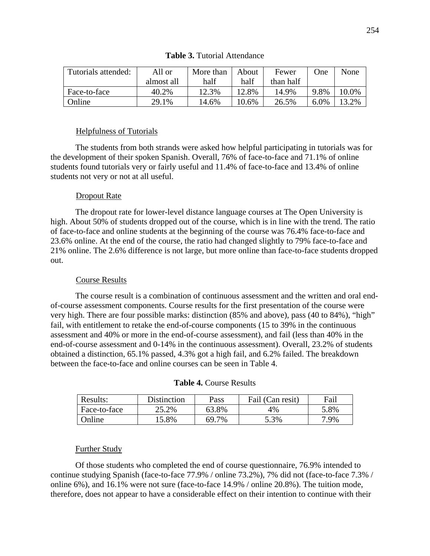| Tutorials attended: | All or     | More than | About | Fewer     | <b>One</b> | None  |
|---------------------|------------|-----------|-------|-----------|------------|-------|
|                     | almost all | half      | half  | than half |            |       |
| Face-to-face        | 40.2%      | 12.3%     | 12.8% | 14.9%     | 9.8%       | 10.0% |
| Online              | 29.1%      | 14.6%     | 10.6% | 26.5%     | $6.0\%$    | 13.2% |

# **Table 3.** Tutorial Attendance

# Helpfulness of Tutorials

The students from both strands were asked how helpful participating in tutorials was for the development of their spoken Spanish. Overall, 76% of face-to-face and 71.1% of online students found tutorials very or fairly useful and 11.4% of face-to-face and 13.4% of online students not very or not at all useful.

# Dropout Rate

The dropout rate for lower-level distance language courses at The Open University is high. About 50% of students dropped out of the course, which is in line with the trend. The ratio of face-to-face and online students at the beginning of the course was 76.4% face-to-face and 23.6% online. At the end of the course, the ratio had changed slightly to 79% face-to-face and 21% online. The 2.6% difference is not large, but more online than face-to-face students dropped out.

#### Course Results

The course result is a combination of continuous assessment and the written and oral endof-course assessment components. Course results for the first presentation of the course were very high. There are four possible marks: distinction (85% and above), pass (40 to 84%), "high" fail, with entitlement to retake the end-of-course components (15 to 39% in the continuous assessment and 40% or more in the end-of-course assessment), and fail (less than 40% in the end-of-course assessment and 0-14% in the continuous assessment). Overall, 23.2% of students obtained a distinction, 65.1% passed, 4.3% got a high fail, and 6.2% failed. The breakdown between the face-to-face and online courses can be seen in Table 4.

| Results:     | <b>Distinction</b> | Pass  | Fail (Can resit) | Fail |
|--------------|--------------------|-------|------------------|------|
| Face-to-face | 25.2%              | 63.8% | 4%               | 5.8% |
| Online       | 15.8%              | 69.7% | 5.3%             | 7.9% |

#### **Table 4.** Course Results

#### Further Study

Of those students who completed the end of course questionnaire, 76.9% intended to continue studying Spanish (face-to-face 77.9% / online 73.2%), 7% did not (face-to-face 7.3% / online 6%), and 16.1% were not sure (face-to-face 14.9% / online 20.8%). The tuition mode, therefore, does not appear to have a considerable effect on their intention to continue with their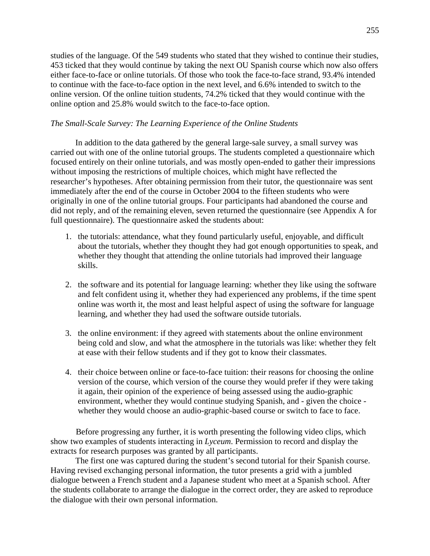studies of the language. Of the 549 students who stated that they wished to continue their studies, 453 ticked that they would continue by taking the next OU Spanish course which now also offers either face-to-face or online tutorials. Of those who took the face-to-face strand, 93.4% intended to continue with the face-to-face option in the next level, and 6.6% intended to switch to the online version. Of the online tuition students, 74.2% ticked that they would continue with the online option and 25.8% would switch to the face-to-face option.

# *The Small-Scale Survey: The Learning Experience of the Online Students*

In addition to the data gathered by the general large-sale survey, a small survey was carried out with one of the online tutorial groups. The students completed a questionnaire which focused entirely on their online tutorials, and was mostly open-ended to gather their impressions without imposing the restrictions of multiple choices, which might have reflected the researcher's hypotheses. After obtaining permission from their tutor, the questionnaire was sent immediately after the end of the course in October 2004 to the fifteen students who were originally in one of the online tutorial groups. Four participants had abandoned the course and did not reply, and of the remaining eleven, seven returned the questionnaire (see Appendix A for full questionnaire). The questionnaire asked the students about:

- 1. the tutorials: attendance, what they found particularly useful, enjoyable, and difficult about the tutorials, whether they thought they had got enough opportunities to speak, and whether they thought that attending the online tutorials had improved their language skills.
- 2. the software and its potential for language learning: whether they like using the software and felt confident using it, whether they had experienced any problems, if the time spent online was worth it, the most and least helpful aspect of using the software for language learning, and whether they had used the software outside tutorials.
- 3. the online environment: if they agreed with statements about the online environment being cold and slow, and what the atmosphere in the tutorials was like: whether they felt at ease with their fellow students and if they got to know their classmates.
- 4. their choice between online or face-to-face tuition: their reasons for choosing the online version of the course, which version of the course they would prefer if they were taking it again, their opinion of the experience of being assessed using the audio-graphic environment, whether they would continue studying Spanish, and - given the choice whether they would choose an audio-graphic-based course or switch to face to face.

Before progressing any further, it is worth presenting the following video clips, which show two examples of students interacting in *Lyceum*. Permission to record and display the extracts for research purposes was granted by all participants.

The first one was captured during the student's second tutorial for their Spanish course. Having revised exchanging personal information, the tutor presents a grid with a jumbled dialogue between a French student and a Japanese student who meet at a Spanish school. After the students collaborate to arrange the dialogue in the correct order, they are asked to reproduce the dialogue with their own personal information.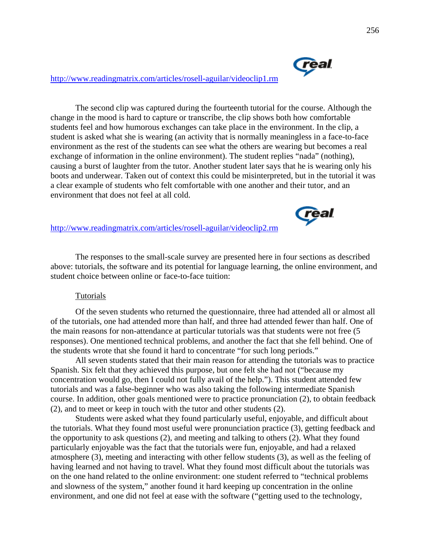

**real** 

# http://www.readingmatrix.com/articles/rosell-aguilar/videoclip1.rm

The second clip was captured during the fourteenth tutorial for the course. Although the change in the mood is hard to capture or transcribe, the clip shows both how comfortable students feel and how humorous exchanges can take place in the environment. In the clip, a student is asked what she is wearing (an activity that is normally meaningless in a face-to-face environment as the rest of the students can see what the others are wearing but becomes a real exchange of information in the online environment). The student replies "nada" (nothing), causing a burst of laughter from the tutor. Another student later says that he is wearing only his boots and underwear. Taken out of context this could be misinterpreted, but in the tutorial it was a clear example of students who felt comfortable with one another and their tutor, and an environment that does not feel at all cold.

# http://www.readingmatrix.com/articles/rosell-aguilar/videoclip2.rm

The responses to the small-scale survey are presented here in four sections as described above: tutorials, the software and its potential for language learning, the online environment, and student choice between online or face-to-face tuition:

#### Tutorials

Of the seven students who returned the questionnaire, three had attended all or almost all of the tutorials, one had attended more than half, and three had attended fewer than half. One of the main reasons for non-attendance at particular tutorials was that students were not free (5 responses). One mentioned technical problems, and another the fact that she fell behind. One of the students wrote that she found it hard to concentrate "for such long periods."

All seven students stated that their main reason for attending the tutorials was to practice Spanish. Six felt that they achieved this purpose, but one felt she had not ("because my concentration would go, then I could not fully avail of the help."). This student attended few tutorials and was a false-beginner who was also taking the following intermediate Spanish course. In addition, other goals mentioned were to practice pronunciation (2), to obtain feedback (2), and to meet or keep in touch with the tutor and other students (2).

Students were asked what they found particularly useful, enjoyable, and difficult about the tutorials. What they found most useful were pronunciation practice (3), getting feedback and the opportunity to ask questions (2), and meeting and talking to others (2). What they found particularly enjoyable was the fact that the tutorials were fun, enjoyable, and had a relaxed atmosphere (3), meeting and interacting with other fellow students (3), as well as the feeling of having learned and not having to travel. What they found most difficult about the tutorials was on the one hand related to the online environment: one student referred to "technical problems and slowness of the system," another found it hard keeping up concentration in the online environment, and one did not feel at ease with the software ("getting used to the technology,

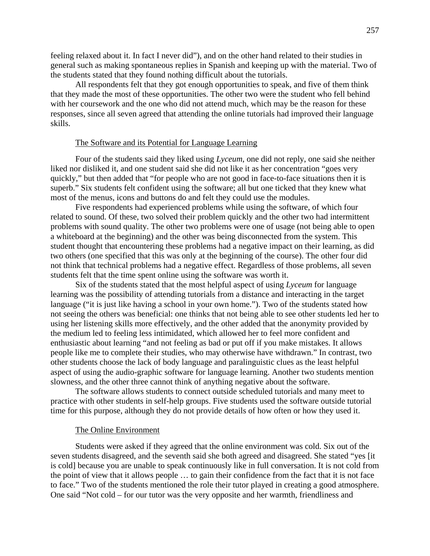feeling relaxed about it. In fact I never did"), and on the other hand related to their studies in general such as making spontaneous replies in Spanish and keeping up with the material. Two of the students stated that they found nothing difficult about the tutorials.

All respondents felt that they got enough opportunities to speak, and five of them think that they made the most of these opportunities. The other two were the student who fell behind with her coursework and the one who did not attend much, which may be the reason for these responses, since all seven agreed that attending the online tutorials had improved their language skills.

#### The Software and its Potential for Language Learning

Four of the students said they liked using *Lyceum*, one did not reply, one said she neither liked nor disliked it, and one student said she did not like it as her concentration "goes very quickly," but then added that "for people who are not good in face-to-face situations then it is superb." Six students felt confident using the software; all but one ticked that they knew what most of the menus, icons and buttons do and felt they could use the modules.

Five respondents had experienced problems while using the software, of which four related to sound. Of these, two solved their problem quickly and the other two had intermittent problems with sound quality. The other two problems were one of usage (not being able to open a whiteboard at the beginning) and the other was being disconnected from the system. This student thought that encountering these problems had a negative impact on their learning, as did two others (one specified that this was only at the beginning of the course). The other four did not think that technical problems had a negative effect. Regardless of those problems, all seven students felt that the time spent online using the software was worth it.

Six of the students stated that the most helpful aspect of using *Lyceum* for language learning was the possibility of attending tutorials from a distance and interacting in the target language ("it is just like having a school in your own home."). Two of the students stated how not seeing the others was beneficial: one thinks that not being able to see other students led her to using her listening skills more effectively, and the other added that the anonymity provided by the medium led to feeling less intimidated, which allowed her to feel more confident and enthusiastic about learning "and not feeling as bad or put off if you make mistakes. It allows people like me to complete their studies, who may otherwise have withdrawn." In contrast, two other students choose the lack of body language and paralinguistic clues as the least helpful aspect of using the audio-graphic software for language learning. Another two students mention slowness, and the other three cannot think of anything negative about the software.

The software allows students to connect outside scheduled tutorials and many meet to practice with other students in self-help groups. Five students used the software outside tutorial time for this purpose, although they do not provide details of how often or how they used it.

#### The Online Environment

Students were asked if they agreed that the online environment was cold. Six out of the seven students disagreed, and the seventh said she both agreed and disagreed. She stated "yes [it is cold] because you are unable to speak continuously like in full conversation. It is not cold from the point of view that it allows people … to gain their confidence from the fact that it is not face to face." Two of the students mentioned the role their tutor played in creating a good atmosphere. One said "Not cold – for our tutor was the very opposite and her warmth, friendliness and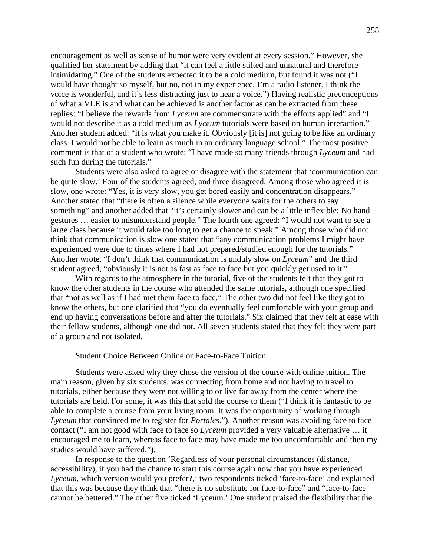encouragement as well as sense of humor were very evident at every session." However, she qualified her statement by adding that "it can feel a little stilted and unnatural and therefore intimidating." One of the students expected it to be a cold medium, but found it was not ("I would have thought so myself, but no, not in my experience. I'm a radio listener, I think the voice is wonderful, and it's less distracting just to hear a voice.") Having realistic preconceptions of what a VLE is and what can be achieved is another factor as can be extracted from these replies: "I believe the rewards from *Lyceum* are commensurate with the efforts applied" and "I would not describe it as a cold medium as *Lyceum* tutorials were based on human interaction." Another student added: "it is what you make it. Obviously [it is] not going to be like an ordinary class. I would not be able to learn as much in an ordinary language school." The most positive comment is that of a student who wrote: "I have made so many friends through *Lyceum* and had such fun during the tutorials."

Students were also asked to agree or disagree with the statement that 'communication can be quite slow.' Four of the students agreed, and three disagreed. Among those who agreed it is slow, one wrote: "Yes, it is very slow, you get bored easily and concentration disappears." Another stated that "there is often a silence while everyone waits for the others to say something" and another added that "it's certainly slower and can be a little inflexible: No hand gestures … easier to misunderstand people." The fourth one agreed: "I would not want to see a large class because it would take too long to get a chance to speak." Among those who did not think that communication is slow one stated that "any communication problems I might have experienced were due to times where I had not prepared/studied enough for the tutorials." Another wrote, "I don't think that communication is unduly slow on *Lyceum*" and the third student agreed, "obviously it is not as fast as face to face but you quickly get used to it."

With regards to the atmosphere in the tutorial, five of the students felt that they got to know the other students in the course who attended the same tutorials, although one specified that "not as well as if I had met them face to face." The other two did not feel like they got to know the others, but one clarified that "you do eventually feel comfortable with your group and end up having conversations before and after the tutorials." Six claimed that they felt at ease with their fellow students, although one did not. All seven students stated that they felt they were part of a group and not isolated.

#### Student Choice Between Online or Face-to-Face Tuition.

Students were asked why they chose the version of the course with online tuition. The main reason, given by six students, was connecting from home and not having to travel to tutorials, either because they were not willing to or live far away from the center where the tutorials are held. For some, it was this that sold the course to them ("I think it is fantastic to be able to complete a course from your living room. It was the opportunity of working through *Lyceum* that convinced me to register for *Portales*."). Another reason was avoiding face to face contact ("I am not good with face to face so *Lyceum* provided a very valuable alternative … it encouraged me to learn, whereas face to face may have made me too uncomfortable and then my studies would have suffered.").

In response to the question 'Regardless of your personal circumstances (distance, accessibility), if you had the chance to start this course again now that you have experienced *Lyceum*, which version would you prefer?,' two respondents ticked 'face-to-face' and explained that this was because they think that "there is no substitute for face-to-face" and "face-to-face cannot be bettered." The other five ticked 'Lyceum.' One student praised the flexibility that the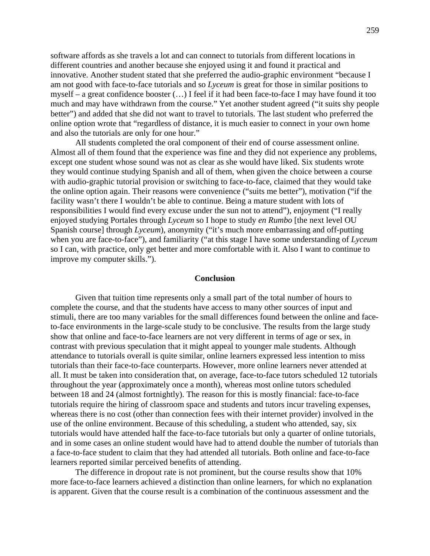software affords as she travels a lot and can connect to tutorials from different locations in different countries and another because she enjoyed using it and found it practical and innovative. Another student stated that she preferred the audio-graphic environment "because I am not good with face-to-face tutorials and so *Lyceum* is great for those in similar positions to myself – a great confidence booster (…) I feel if it had been face-to-face I may have found it too much and may have withdrawn from the course." Yet another student agreed ("it suits shy people better") and added that she did not want to travel to tutorials. The last student who preferred the online option wrote that "regardless of distance, it is much easier to connect in your own home and also the tutorials are only for one hour."

All students completed the oral component of their end of course assessment online. Almost all of them found that the experience was fine and they did not experience any problems, except one student whose sound was not as clear as she would have liked. Six students wrote they would continue studying Spanish and all of them, when given the choice between a course with audio-graphic tutorial provision or switching to face-to-face, claimed that they would take the online option again. Their reasons were convenience ("suits me better"), motivation ("if the facility wasn't there I wouldn't be able to continue. Being a mature student with lots of responsibilities I would find every excuse under the sun not to attend"), enjoyment ("I really enjoyed studying Portales through *Lyceum* so I hope to study *en Rumbo* [the next level OU Spanish course] through *Lyceum*), anonymity ("it's much more embarrassing and off-putting when you are face-to-face"), and familiarity ("at this stage I have some understanding of *Lyceum* so I can, with practice, only get better and more comfortable with it. Also I want to continue to improve my computer skills.").

#### **Conclusion**

Given that tuition time represents only a small part of the total number of hours to complete the course, and that the students have access to many other sources of input and stimuli, there are too many variables for the small differences found between the online and faceto-face environments in the large-scale study to be conclusive. The results from the large study show that online and face-to-face learners are not very different in terms of age or sex, in contrast with previous speculation that it might appeal to younger male students. Although attendance to tutorials overall is quite similar, online learners expressed less intention to miss tutorials than their face-to-face counterparts. However, more online learners never attended at all. It must be taken into consideration that, on average, face-to-face tutors scheduled 12 tutorials throughout the year (approximately once a month), whereas most online tutors scheduled between 18 and 24 (almost fortnightly). The reason for this is mostly financial: face-to-face tutorials require the hiring of classroom space and students and tutors incur traveling expenses, whereas there is no cost (other than connection fees with their internet provider) involved in the use of the online environment. Because of this scheduling, a student who attended, say, six tutorials would have attended half the face-to-face tutorials but only a quarter of online tutorials, and in some cases an online student would have had to attend double the number of tutorials than a face-to-face student to claim that they had attended all tutorials. Both online and face-to-face learners reported similar perceived benefits of attending.

The difference in dropout rate is not prominent, but the course results show that 10% more face-to-face learners achieved a distinction than online learners, for which no explanation is apparent. Given that the course result is a combination of the continuous assessment and the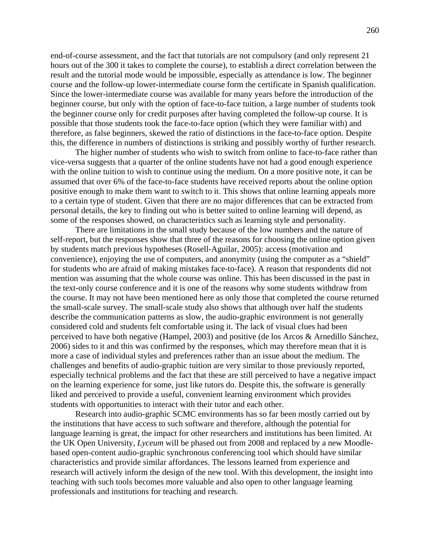end-of-course assessment, and the fact that tutorials are not compulsory (and only represent 21 hours out of the 300 it takes to complete the course), to establish a direct correlation between the result and the tutorial mode would be impossible, especially as attendance is low. The beginner course and the follow-up lower-intermediate course form the certificate in Spanish qualification. Since the lower-intermediate course was available for many years before the introduction of the beginner course, but only with the option of face-to-face tuition, a large number of students took the beginner course only for credit purposes after having completed the follow-up course. It is possible that those students took the face-to-face option (which they were familiar with) and therefore, as false beginners, skewed the ratio of distinctions in the face-to-face option. Despite this, the difference in numbers of distinctions is striking and possibly worthy of further research.

The higher number of students who wish to switch from online to face-to-face rather than vice-versa suggests that a quarter of the online students have not had a good enough experience with the online tuition to wish to continue using the medium. On a more positive note, it can be assumed that over 6% of the face-to-face students have received reports about the online option positive enough to make them want to switch to it. This shows that online learning appeals more to a certain type of student. Given that there are no major differences that can be extracted from personal details, the key to finding out who is better suited to online learning will depend, as some of the responses showed, on characteristics such as learning style and personality.

There are limitations in the small study because of the low numbers and the nature of self-report, but the responses show that three of the reasons for choosing the online option given by students match previous hypotheses (Rosell-Aguilar, 2005): access (motivation and convenience), enjoying the use of computers, and anonymity (using the computer as a "shield" for students who are afraid of making mistakes face-to-face). A reason that respondents did not mention was assuming that the whole course was online. This has been discussed in the past in the text-only course conference and it is one of the reasons why some students withdraw from the course. It may not have been mentioned here as only those that completed the course returned the small-scale survey. The small-scale study also shows that although over half the students describe the communication patterns as slow, the audio-graphic environment is not generally considered cold and students felt comfortable using it. The lack of visual clues had been perceived to have both negative (Hampel, 2003) and positive (de los Arcos & Arnedillo Sánchez, 2006) sides to it and this was confirmed by the responses, which may therefore mean that it is more a case of individual styles and preferences rather than an issue about the medium. The challenges and benefits of audio-graphic tuition are very similar to those previously reported, especially technical problems and the fact that these are still perceived to have a negative impact on the learning experience for some, just like tutors do. Despite this, the software is generally liked and perceived to provide a useful, convenient learning environment which provides students with opportunities to interact with their tutor and each other.

Research into audio-graphic SCMC environments has so far been mostly carried out by the institutions that have access to such software and therefore, although the potential for language learning is great, the impact for other researchers and institutions has been limited. At the UK Open University, *Lyceum* will be phased out from 2008 and replaced by a new Moodlebased open-content audio-graphic synchronous conferencing tool which should have similar characteristics and provide similar affordances. The lessons learned from experience and research will actively inform the design of the new tool. With this development, the insight into teaching with such tools becomes more valuable and also open to other language learning professionals and institutions for teaching and research.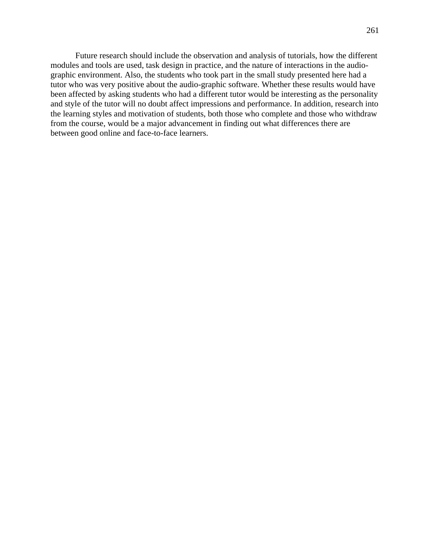Future research should include the observation and analysis of tutorials, how the different modules and tools are used, task design in practice, and the nature of interactions in the audiographic environment. Also, the students who took part in the small study presented here had a tutor who was very positive about the audio-graphic software. Whether these results would have been affected by asking students who had a different tutor would be interesting as the personality and style of the tutor will no doubt affect impressions and performance. In addition, research into the learning styles and motivation of students, both those who complete and those who withdraw from the course, would be a major advancement in finding out what differences there are between good online and face-to-face learners.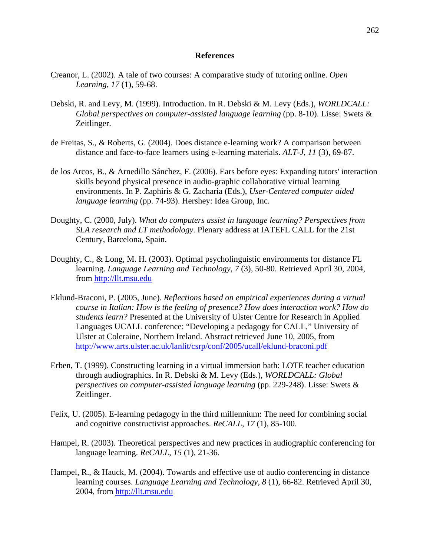#### **References**

- Creanor, L. (2002). A tale of two courses: A comparative study of tutoring online. *Open Learning*, *17* (1), 59-68.
- Debski, R. and Levy, M. (1999). Introduction. In R. Debski & M. Levy (Eds.), *WORLDCALL: Global perspectives on computer-assisted language learning* (pp. 8-10). Lisse: Swets & Zeitlinger.
- de Freitas, S., & Roberts, G. (2004). Does distance e-learning work? A comparison between distance and face-to-face learners using e-learning materials. *ALT-J*, *11* (3), 69-87.
- de los Arcos, B., & Arnedillo Sánchez, F. (2006). Ears before eyes: Expanding tutors' interaction skills beyond physical presence in audio-graphic collaborative virtual learning environments. In P. Zaphiris & G. Zacharia (Eds.), *User-Centered computer aided language learning* (pp. 74-93). Hershey: Idea Group, Inc.
- Doughty, C. (2000, July). *What do computers assist in language learning? Perspectives from SLA research and LT methodology.* Plenary address at IATEFL CALL for the 21st Century, Barcelona, Spain.
- Doughty, C., & Long, M. H. (2003). Optimal psycholinguistic environments for distance FL learning. *Language Learning and Technology*, *7* (3), 50-80. Retrieved April 30, 2004, from http://llt.msu.edu
- Eklund-Braconi, P. (2005, June). *Reflections based on empirical experiences during a virtual course in Italian: How is the feeling of presence? How does interaction work? How do students learn?* Presented at the University of Ulster Centre for Research in Applied Languages UCALL conference: "Developing a pedagogy for CALL," University of Ulster at Coleraine, Northern Ireland. Abstract retrieved June 10, 2005, from http://www.arts.ulster.ac.uk/lanlit/csrp/conf/2005/ucall/eklund-braconi.pdf
- Erben, T. (1999). Constructing learning in a virtual immersion bath: LOTE teacher education through audiographics. In R. Debski & M. Levy (Eds.), *WORLDCALL: Global perspectives on computer-assisted language learning* (pp. 229-248). Lisse: Swets & Zeitlinger.
- Felix, U. (2005). E-learning pedagogy in the third millennium: The need for combining social and cognitive constructivist approaches. *ReCALL*, *17* (1), 85-100.
- Hampel, R. (2003). Theoretical perspectives and new practices in audiographic conferencing for language learning. *ReCALL*, *15* (1), 21-36.
- Hampel, R., & Hauck, M. (2004). Towards and effective use of audio conferencing in distance learning courses. *Language Learning and Technology*, *8* (1), 66-82. Retrieved April 30, 2004, from http://llt.msu.edu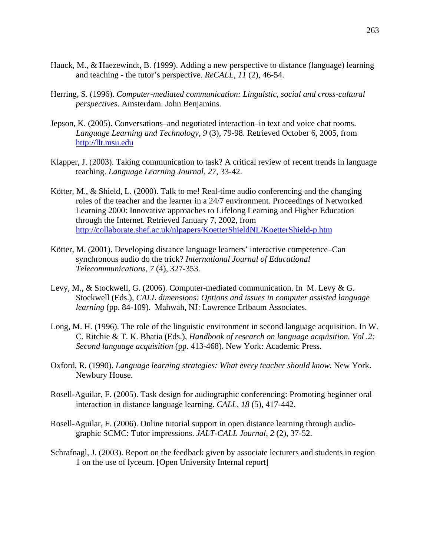- Hauck, M., & Haezewindt, B. (1999). Adding a new perspective to distance (language) learning and teaching - the tutor's perspective. *ReCALL, 11* (2), 46-54.
- Herring, S. (1996). *Computer-mediated communication: Linguistic, social and cross-cultural perspectives*. Amsterdam. John Benjamins.
- Jepson, K. (2005). Conversations–and negotiated interaction–in text and voice chat rooms. *Language Learning and Technology*, *9* (3), 79-98. Retrieved October 6, 2005, from http://llt.msu.edu
- Klapper, J. (2003). Taking communication to task? A critical review of recent trends in language teaching. *Language Learning Journal*, *27*, 33-42.
- Kötter, M., & Shield, L. (2000). Talk to me! Real-time audio conferencing and the changing roles of the teacher and the learner in a 24/7 environment. Proceedings of Networked Learning 2000: Innovative approaches to Lifelong Learning and Higher Education through the Internet. Retrieved January 7, 2002, from http://collaborate.shef.ac.uk/nlpapers/KoetterShieldNL/KoetterShield-p.htm
- Kötter, M. (2001). Developing distance language learners' interactive competence–Can synchronous audio do the trick? *International Journal of Educational Telecommunications, 7* (4), 327-353.
- Levy, M., & Stockwell, G. (2006). Computer-mediated communication. In M. Levy & G. Stockwell (Eds.), *CALL dimensions: Options and issues in computer assisted language learning* (pp. 84-109)*.* Mahwah, NJ: Lawrence Erlbaum Associates.
- Long, M. H. (1996). The role of the linguistic environment in second language acquisition. In W. C. Ritchie & T. K. Bhatia (Eds.), *Handbook of research on language acquisition. Vol .2: Second language acquisition* (pp. 413-468). New York: Academic Press.
- Oxford, R. (1990). *Language learning strategies: What every teacher should know*. New York. Newbury House.
- Rosell-Aguilar, F. (2005). Task design for audiographic conferencing: Promoting beginner oral interaction in distance language learning. *CALL, 18* (5), 417-442.
- Rosell-Aguilar, F. (2006). Online tutorial support in open distance learning through audiographic SCMC: Tutor impressions. *JALT-CALL Journal*, *2* (2), 37-52.
- Schrafnagl, J. (2003). Report on the feedback given by associate lecturers and students in region 1 on the use of lyceum. [Open University Internal report]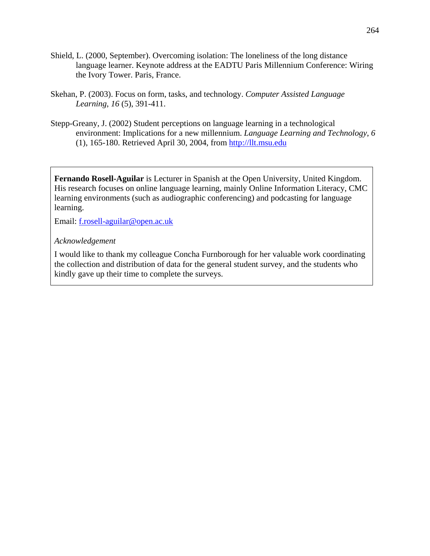- Shield, L. (2000, September). Overcoming isolation: The loneliness of the long distance language learner. Keynote address at the EADTU Paris Millennium Conference: Wiring the Ivory Tower. Paris, France.
- Skehan, P. (2003). Focus on form, tasks, and technology. *Computer Assisted Language Learning*, *16* (5), 391-411.
- Stepp-Greany, J. (2002) Student perceptions on language learning in a technological environment: Implications for a new millennium. *Language Learning and Technology*, *6* (1), 165-180. Retrieved April 30, 2004, from http://llt.msu.edu

**Fernando Rosell-Aguilar** is Lecturer in Spanish at the Open University, United Kingdom. His research focuses on online language learning, mainly Online Information Literacy, CMC learning environments (such as audiographic conferencing) and podcasting for language learning.

Email: f.rosell-aguilar@open.ac.uk

# *Acknowledgement*

I would like to thank my colleague Concha Furnborough for her valuable work coordinating the collection and distribution of data for the general student survey, and the students who kindly gave up their time to complete the surveys.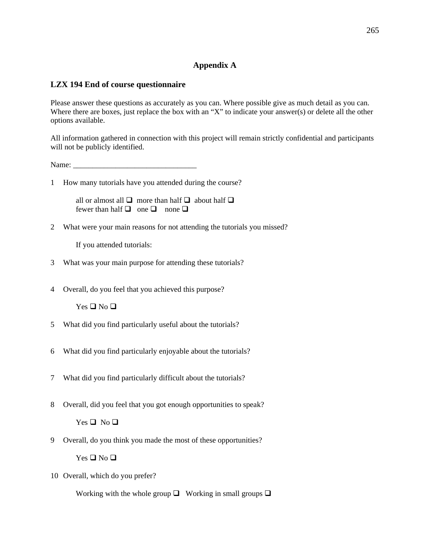# **Appendix A**

### **LZX 194 End of course questionnaire**

Please answer these questions as accurately as you can. Where possible give as much detail as you can. Where there are boxes, just replace the box with an "X" to indicate your answer(s) or delete all the other options available.

All information gathered in connection with this project will remain strictly confidential and participants will not be publicly identified.

Name: \_\_\_\_\_\_\_\_\_\_\_\_\_\_\_\_\_\_\_\_\_\_\_\_\_\_\_\_\_\_\_\_

1 How many tutorials have you attended during the course?

all or almost all  $\Box$  more than half  $\Box$  about half  $\Box$ fewer than half  $\Box$  one  $\Box$  none  $\Box$ 

2 What were your main reasons for not attending the tutorials you missed?

If you attended tutorials:

- 3 What was your main purpose for attending these tutorials?
- 4 Overall, do you feel that you achieved this purpose?

 $Yes \square No \square$ 

- 5 What did you find particularly useful about the tutorials?
- 6 What did you find particularly enjoyable about the tutorials?
- 7 What did you find particularly difficult about the tutorials?
- 8 Overall, did you feel that you got enough opportunities to speak?

 $Yes \square No \square$ 

9 Overall, do you think you made the most of these opportunities?

 $Yes \square No \square$ 

10 Overall, which do you prefer?

Working with the whole group  $\Box$  Working in small groups  $\Box$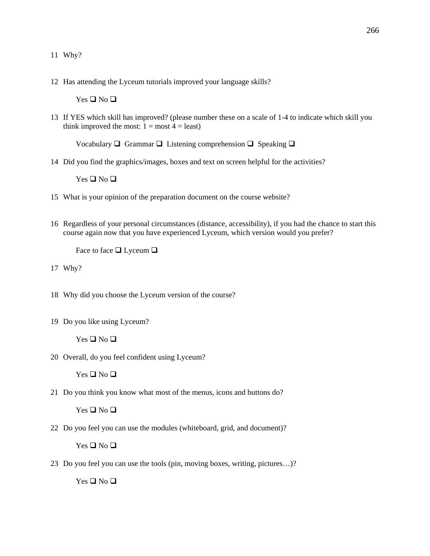- 11 Why?
- 12 Has attending the Lyceum tutorials improved your language skills?

 $Yes \square No \square$ 

13 If YES which skill has improved? (please number these on a scale of 1-4 to indicate which skill you think improved the most:  $1 = \text{most } 4 = \text{least}$ )

Vocabulary  $\Box$  Grammar  $\Box$  Listening comprehension  $\Box$  Speaking  $\Box$ 

14 Did you find the graphics/images, boxes and text on screen helpful for the activities?

 $Yes \square No \square$ 

- 15 What is your opinion of the preparation document on the course website?
- 16 Regardless of your personal circumstances (distance, accessibility), if you had the chance to start this course again now that you have experienced Lyceum, which version would you prefer?

Face to face  $\Box$  Lyceum  $\Box$ 

17 Why?

- 18 Why did you choose the Lyceum version of the course?
- 19 Do you like using Lyceum?

 $Yes \square No \square$ 

20 Overall, do you feel confident using Lyceum?

 $Yes \square No \square$ 

21 Do you think you know what most of the menus, icons and buttons do?

 $Yes \square No \square$ 

22 Do you feel you can use the modules (whiteboard, grid, and document)?

Yes  $\Box$  No  $\Box$ 

23 Do you feel you can use the tools (pin, moving boxes, writing, pictures…)?

 $Yes \square No \square$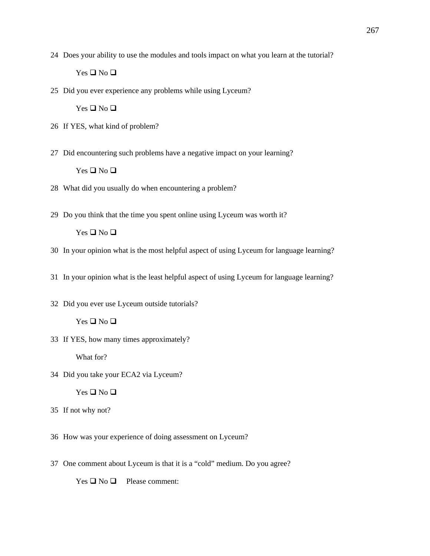24 Does your ability to use the modules and tools impact on what you learn at the tutorial?

 $Yes \square No \square$ 

25 Did you ever experience any problems while using Lyceum?

Yes  $\Box$  No  $\Box$ 

- 26 If YES, what kind of problem?
- 27 Did encountering such problems have a negative impact on your learning?

 $Yes \square No \square$ 

- 28 What did you usually do when encountering a problem?
- 29 Do you think that the time you spent online using Lyceum was worth it?

 $Yes \square No \square$ 

- 30 In your opinion what is the most helpful aspect of using Lyceum for language learning?
- 31 In your opinion what is the least helpful aspect of using Lyceum for language learning?
- 32 Did you ever use Lyceum outside tutorials?  $Yes \square No \square$
- 33 If YES, how many times approximately?

What for?

34 Did you take your ECA2 via Lyceum?

 $Yes \square No \square$ 

- 35 If not why not?
- 36 How was your experience of doing assessment on Lyceum?
- 37 One comment about Lyceum is that it is a "cold" medium. Do you agree?

 $Yes \square No \square$  Please comment: